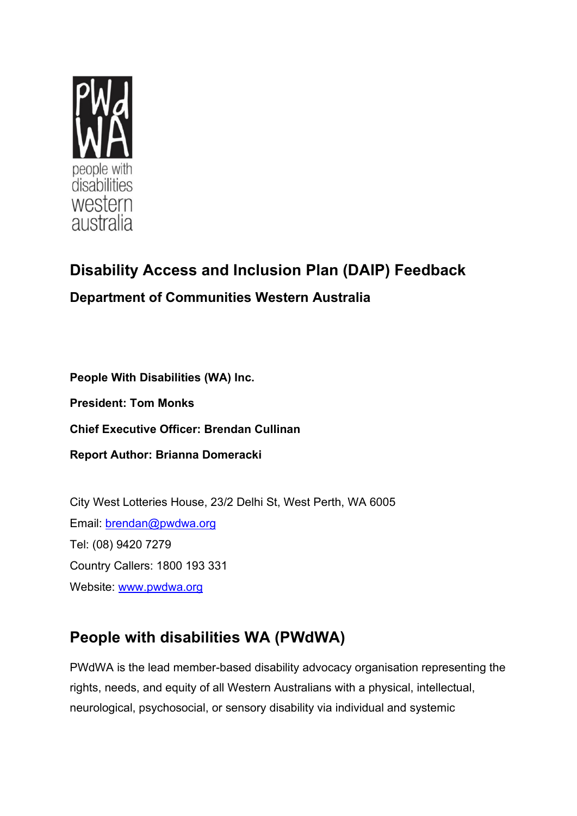

# **Disability Access and Inclusion Plan (DAIP) Feedback Department of Communities Western Australia**

**People With Disabilities (WA) Inc.** 

**President: Tom Monks**

**Chief Executive Officer: Brendan Cullinan**

**Report Author: Brianna Domeracki**

City West Lotteries House, 23/2 Delhi St, West Perth, WA 6005 Email: [brendan@pwdwa.org](mailto:brendan@pwdwa.org)  Tel: (08) 9420 7279 Country Callers: 1800 193 331 Website: [www.pwdwa.org](http://www.pwdwa.org/)

# **People with disabilities WA (PWdWA)**

PWdWA is the lead member-based disability advocacy organisation representing the rights, needs, and equity of all Western Australians with a physical, intellectual, neurological, psychosocial, or sensory disability via individual and systemic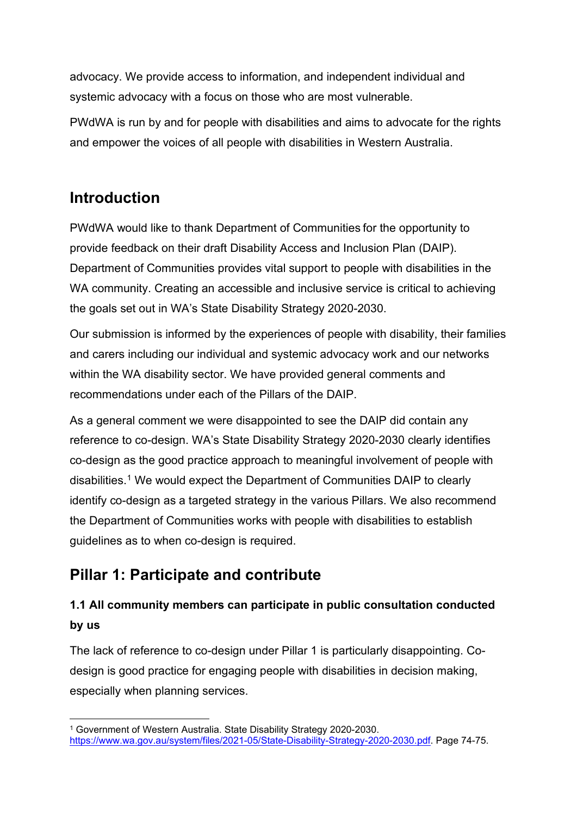advocacy. We provide access to information, and independent individual and systemic advocacy with a focus on those who are most vulnerable.   

PWdWA is run by and for people with disabilities and aims to advocate for the rights and empower the voices of all people with disabilities in Western Australia.

### **Introduction**

PWdWA would like to thank Department of Communities for the opportunity to provide feedback on their draft Disability Access and Inclusion Plan (DAIP). Department of Communities provides vital support to people with disabilities in the WA community. Creating an accessible and inclusive service is critical to achieving the goals set out in WA's State Disability Strategy 2020-2030.

Our submission is informed by the experiences of people with disability, their families and carers including our individual and systemic advocacy work and our networks within the WA disability sector. We have provided general comments and recommendations under each of the Pillars of the DAIP.

As a general comment we were disappointed to see the DAIP did contain any reference to co-design. WA's State Disability Strategy 2020-2030 clearly identifies co-design as the good practice approach to meaningful involvement of people with disabilities.[1](#page-1-0) We would expect the Department of Communities DAIP to clearly identify co-design as a targeted strategy in the various Pillars. We also recommend the Department of Communities works with people with disabilities to establish guidelines as to when co-design is required.

### **Pillar 1: Participate and contribute**

### **1.1 All community members can participate in public consultation conducted by us**

The lack of reference to co-design under Pillar 1 is particularly disappointing. Codesign is good practice for engaging people with disabilities in decision making, especially when planning services.

<span id="page-1-0"></span><sup>1</sup> Government of Western Australia. State Disability Strategy 2020-2030. [https://www.wa.gov.au/system/files/2021-05/State-Disability-Strategy-2020-2030.pdf.](https://www.wa.gov.au/system/files/2021-05/State-Disability-Strategy-2020-2030.pdf) Page 74-75.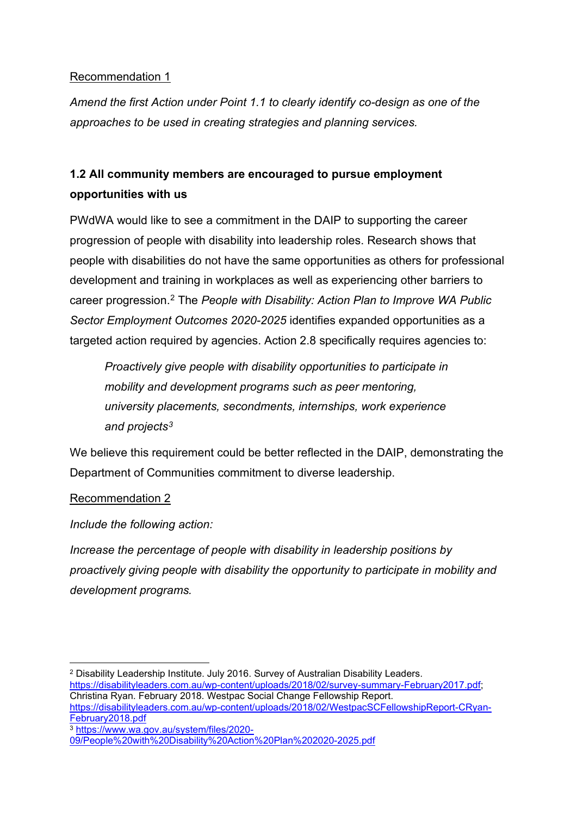### Recommendation 1

*Amend the first Action under Point 1.1 to clearly identify co-design as one of the approaches to be used in creating strategies and planning services.* 

### **1.2 All community members are encouraged to pursue employment opportunities with us**

PWdWA would like to see a commitment in the DAIP to supporting the career progression of people with disability into leadership roles. Research shows that people with disabilities do not have the same opportunities as others for professional development and training in workplaces as well as experiencing other barriers to career progression. [2](#page-2-0) The *People with Disability: Action Plan to Improve WA Public Sector Employment Outcomes 2020-2025* identifies expanded opportunities as a targeted action required by agencies. Action 2.8 specifically requires agencies to:

*Proactively give people with disability opportunities to participate in mobility and development programs such as peer mentoring, university placements, secondments, internships, work experience and projects[3](#page-2-1)*

We believe this requirement could be better reflected in the DAIP, demonstrating the Department of Communities commitment to diverse leadership.

### Recommendation 2

*Include the following action:*

*Increase the percentage of people with disability in leadership positions by proactively giving people with disability the opportunity to participate in mobility and development programs.*

```
Christina Ryan. February 2018. Westpac Social Change Fellowship Report. 
https://disabilityleaders.com.au/wp-content/uploads/2018/02/WestpacSCFellowshipReport-CRyan-
https://www.wa.gov.au/system/files/2020-
```
<span id="page-2-0"></span><sup>2</sup> Disability Leadership Institute. July 2016. Survey of Australian Disability Leaders. [https://disabilityleaders.com.au/wp-content/uploads/2018/02/survey-summary-February2017.pdf;](https://disabilityleaders.com.au/wp-content/uploads/2018/02/survey-summary-February2017.pdf)

<span id="page-2-1"></span>[<sup>09/</sup>People%20with%20Disability%20Action%20Plan%202020-2025.pdf](https://www.wa.gov.au/system/files/2020-09/People%20with%20Disability%20Action%20Plan%202020-2025.pdf)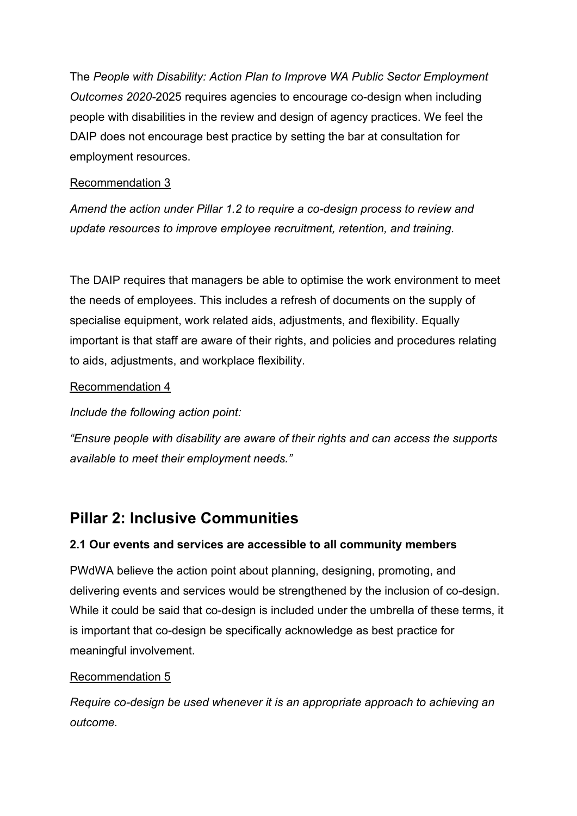The *People with Disability: Action Plan to Improve WA Public Sector Employment Outcomes 2020-*2025 requires agencies to encourage co-design when including people with disabilities in the review and design of agency practices. We feel the DAIP does not encourage best practice by setting the bar at consultation for employment resources.

### Recommendation 3

*Amend the action under Pillar 1.2 to require a co-design process to review and update resources to improve employee recruitment, retention, and training.*

The DAIP requires that managers be able to optimise the work environment to meet the needs of employees. This includes a refresh of documents on the supply of specialise equipment, work related aids, adjustments, and flexibility. Equally important is that staff are aware of their rights, and policies and procedures relating to aids, adjustments, and workplace flexibility.

### Recommendation 4

### *Include the following action point:*

*"Ensure people with disability are aware of their rights and can access the supports available to meet their employment needs."* 

### **Pillar 2: Inclusive Communities**

### **2.1 Our events and services are accessible to all community members**

PWdWA believe the action point about planning, designing, promoting, and delivering events and services would be strengthened by the inclusion of co-design. While it could be said that co-design is included under the umbrella of these terms, it is important that co-design be specifically acknowledge as best practice for meaningful involvement.

### Recommendation 5

*Require co-design be used whenever it is an appropriate approach to achieving an outcome.*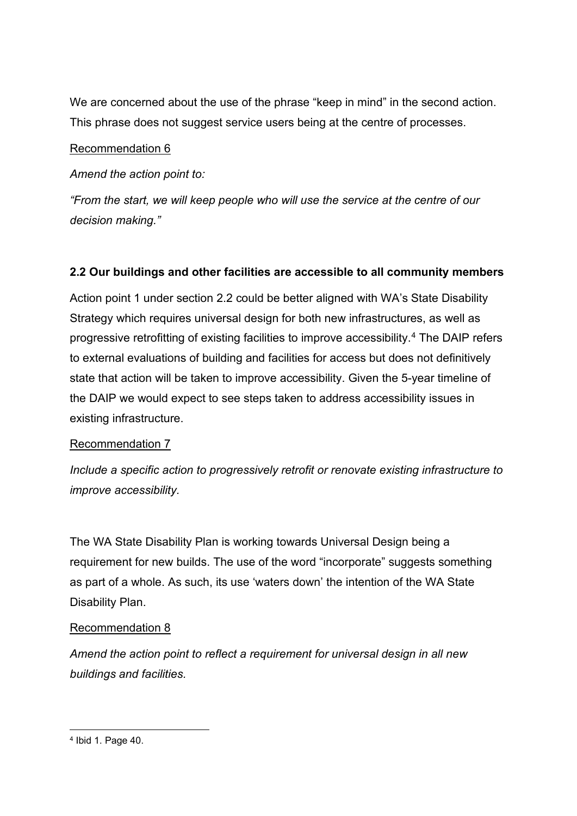We are concerned about the use of the phrase "keep in mind" in the second action. This phrase does not suggest service users being at the centre of processes.

### Recommendation 6

*Amend the action point to:*

*"From the start, we will keep people who will use the service at the centre of our decision making."*

### **2.2 Our buildings and other facilities are accessible to all community members**

Action point 1 under section 2.2 could be better aligned with WA's State Disability Strategy which requires universal design for both new infrastructures, as well as progressive retrofitting of existing facilities to improve accessibility.[4](#page-4-0) The DAIP refers to external evaluations of building and facilities for access but does not definitively state that action will be taken to improve accessibility. Given the 5-year timeline of the DAIP we would expect to see steps taken to address accessibility issues in existing infrastructure.

### Recommendation 7

*Include a specific action to progressively retrofit or renovate existing infrastructure to improve accessibility.*

The WA State Disability Plan is working towards Universal Design being a requirement for new builds. The use of the word "incorporate" suggests something as part of a whole. As such, its use 'waters down' the intention of the WA State Disability Plan.

### Recommendation 8

<span id="page-4-0"></span>*Amend the action point to reflect a requirement for universal design in all new buildings and facilities.*